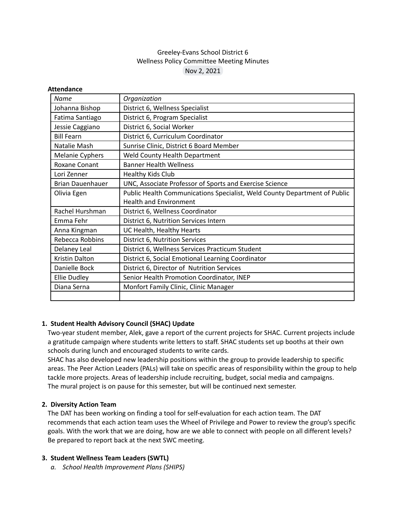# Greeley-Evans School District 6 Wellness Policy Committee Meeting Minutes Nov 2, 2021

#### **Attendance**

| Name                    | Organization                                                              |
|-------------------------|---------------------------------------------------------------------------|
| Johanna Bishop          | District 6, Wellness Specialist                                           |
| Fatima Santiago         | District 6, Program Specialist                                            |
| Jessie Caggiano         | District 6, Social Worker                                                 |
| <b>Bill Fearn</b>       | District 6, Curriculum Coordinator                                        |
| Natalie Mash            | Sunrise Clinic, District 6 Board Member                                   |
| Melanie Cyphers         | Weld County Health Department                                             |
| Roxane Conant           | <b>Banner Health Wellness</b>                                             |
| Lori Zenner             | Healthy Kids Club                                                         |
| <b>Brian Dauenhauer</b> | UNC, Associate Professor of Sports and Exercise Science                   |
| Olivia Egen             | Public Health Communications Specialist, Weld County Department of Public |
|                         | <b>Health and Environment</b>                                             |
| Rachel Hurshman         | District 6, Wellness Coordinator                                          |
| Emma Fehr               | District 6, Nutrition Services Intern                                     |
| Anna Kingman            | UC Health, Healthy Hearts                                                 |
| Rebecca Robbins         | District 6, Nutrition Services                                            |
| <b>Delaney Leal</b>     | District 6, Wellness Services Practicum Student                           |
| Kristin Dalton          | District 6, Social Emotional Learning Coordinator                         |
| Danielle Bock           | District 6, Director of Nutrition Services                                |
| Ellie Dudley            | Senior Health Promotion Coordinator, INEP                                 |
| Diana Serna             | Monfort Family Clinic, Clinic Manager                                     |
|                         |                                                                           |

## **1. Student Health Advisory Council (SHAC) Update**

Two-year student member, Alek, gave a report of the current projects for SHAC. Current projects include a gratitude campaign where students write letters to staff. SHAC students set up booths at their own schools during lunch and encouraged students to write cards.

SHAC has also developed new leadership positions within the group to provide leadership to specific areas. The Peer Action Leaders (PALs) will take on specific areas of responsibility within the group to help tackle more projects. Areas of leadership include recruiting, budget, social media and campaigns. The mural project is on pause for this semester, but will be continued next semester.

## **2. Diversity Action Team**

The DAT has been working on finding a tool for self-evaluation for each action team. The DAT recommends that each action team uses the Wheel of Privilege and Power to review the group's specific goals. With the work that we are doing, how are we able to connect with people on all different levels? Be prepared to report back at the next SWC meeting.

#### **3. Student Wellness Team Leaders (SWTL)**

*a. School Health Improvement Plans (SHIPS)*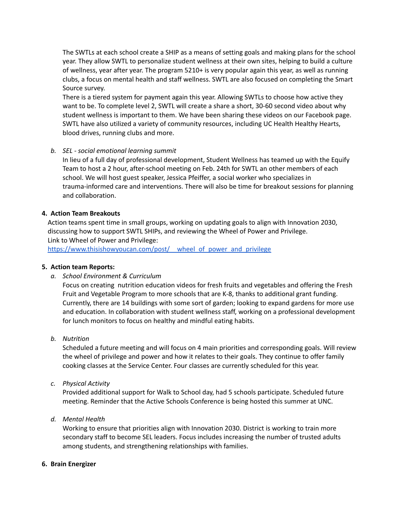The SWTLs at each school create a SHIP as a means of setting goals and making plans for the school year. They allow SWTL to personalize student wellness at their own sites, helping to build a culture of wellness, year after year. The program 5210+ is very popular again this year, as well as running clubs, a focus on mental health and staff wellness. SWTL are also focused on completing the Smart Source survey.

There is a tiered system for payment again this year. Allowing SWTLs to choose how active they want to be. To complete level 2, SWTL will create a share a short, 30-60 second video about why student wellness is important to them. We have been sharing these videos on our Facebook page. SWTL have also utilized a variety of community resources, including UC Health Healthy Hearts, blood drives, running clubs and more.

## *b. SEL - social emotional learning summit*

In lieu of a full day of professional development, Student Wellness has teamed up with the Equify Team to host a 2 hour, after-school meeting on Feb. 24th for SWTL an other members of each school. We will host guest speaker, Jessica Pfeiffer, a social worker who specializes in trauma-informed care and interventions. There will also be time for breakout sessions for planning and collaboration.

## **4. Action Team Breakouts**

Action teams spent time in small groups, working on updating goals to align with Innovation 2030, discussing how to support SWTL SHIPs, and reviewing the Wheel of Power and Privilege. Link to Wheel of Power and Privilege:

https://www.thisishowyoucan.com/post/ wheel of power and privilege

## **5. Action team Reports:**

*a. School Environment & Curriculum*

Focus on creating nutrition education videos for fresh fruits and vegetables and offering the Fresh Fruit and Vegetable Program to more schools that are K-8, thanks to additional grant funding. Currently, there are 14 buildings with some sort of garden; looking to expand gardens for more use and education. In collaboration with student wellness staff, working on a professional development for lunch monitors to focus on healthy and mindful eating habits.

*b. Nutrition*

Scheduled a future meeting and will focus on 4 main priorities and corresponding goals. Will review the wheel of privilege and power and how it relates to their goals. They continue to offer family cooking classes at the Service Center. Four classes are currently scheduled for this year.

*c. Physical Activity*

Provided additional support for Walk to School day, had 5 schools participate. Scheduled future meeting. Reminder that the Active Schools Conference is being hosted this summer at UNC.

*d. Mental Health*

Working to ensure that priorities align with Innovation 2030. District is working to train more secondary staff to become SEL leaders. Focus includes increasing the number of trusted adults among students, and strengthening relationships with families.

#### **6. Brain Energizer**